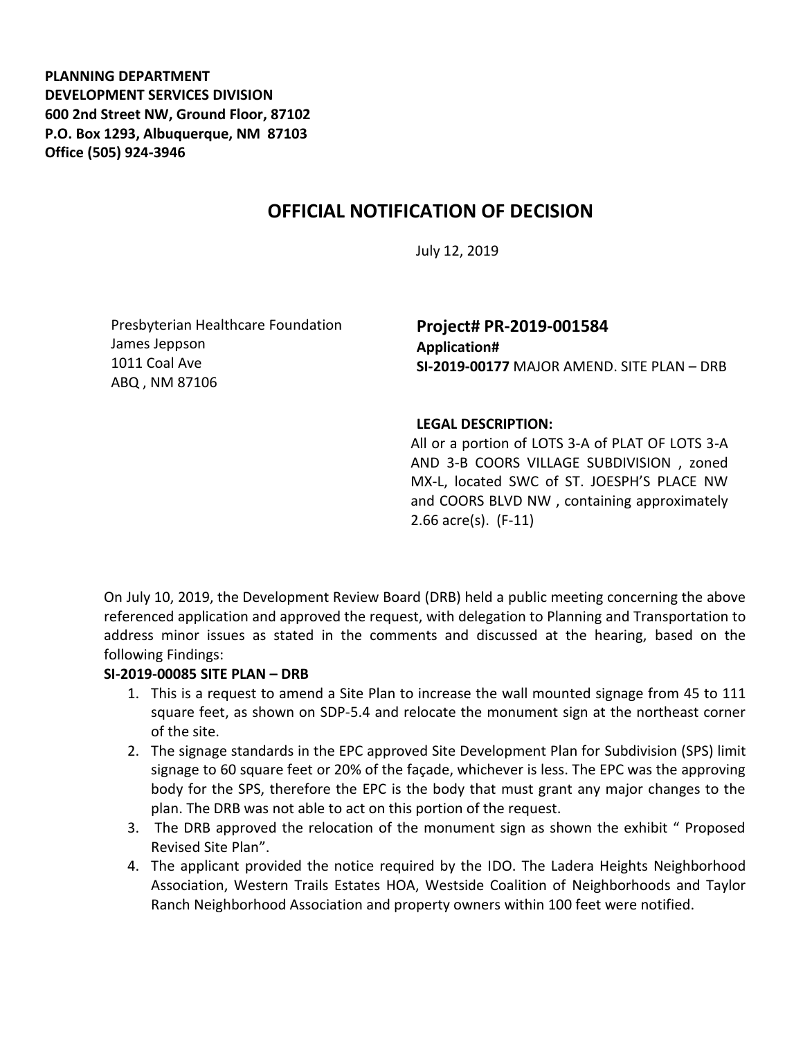**PLANNING DEPARTMENT DEVELOPMENT SERVICES DIVISION 600 2nd Street NW, Ground Floor, 87102 P.O. Box 1293, Albuquerque, NM 87103 Office (505) 924-3946** 

# **OFFICIAL NOTIFICATION OF DECISION**

July 12, 2019

Presbyterian Healthcare Foundation James Jeppson 1011 Coal Ave ABQ , NM 87106

## **Project# PR-2019-001584 Application# SI-2019-00177** MAJOR AMEND. SITE PLAN – DRB

### **LEGAL DESCRIPTION:**

All or a portion of LOTS 3-A of PLAT OF LOTS 3-A AND 3-B COORS VILLAGE SUBDIVISION , zoned MX-L, located SWC of ST. JOESPH'S PLACE NW and COORS BLVD NW , containing approximately 2.66 acre(s). (F-11)

On July 10, 2019, the Development Review Board (DRB) held a public meeting concerning the above referenced application and approved the request, with delegation to Planning and Transportation to address minor issues as stated in the comments and discussed at the hearing, based on the following Findings:

### **SI-2019-00085 SITE PLAN – DRB**

- 1. This is a request to amend a Site Plan to increase the wall mounted signage from 45 to 111 square feet, as shown on SDP-5.4 and relocate the monument sign at the northeast corner of the site.
- 2. The signage standards in the EPC approved Site Development Plan for Subdivision (SPS) limit signage to 60 square feet or 20% of the façade, whichever is less. The EPC was the approving body for the SPS, therefore the EPC is the body that must grant any major changes to the plan. The DRB was not able to act on this portion of the request.
- 3. The DRB approved the relocation of the monument sign as shown the exhibit " Proposed Revised Site Plan".
- 4. The applicant provided the notice required by the IDO. The Ladera Heights Neighborhood Association, Western Trails Estates HOA, Westside Coalition of Neighborhoods and Taylor Ranch Neighborhood Association and property owners within 100 feet were notified.